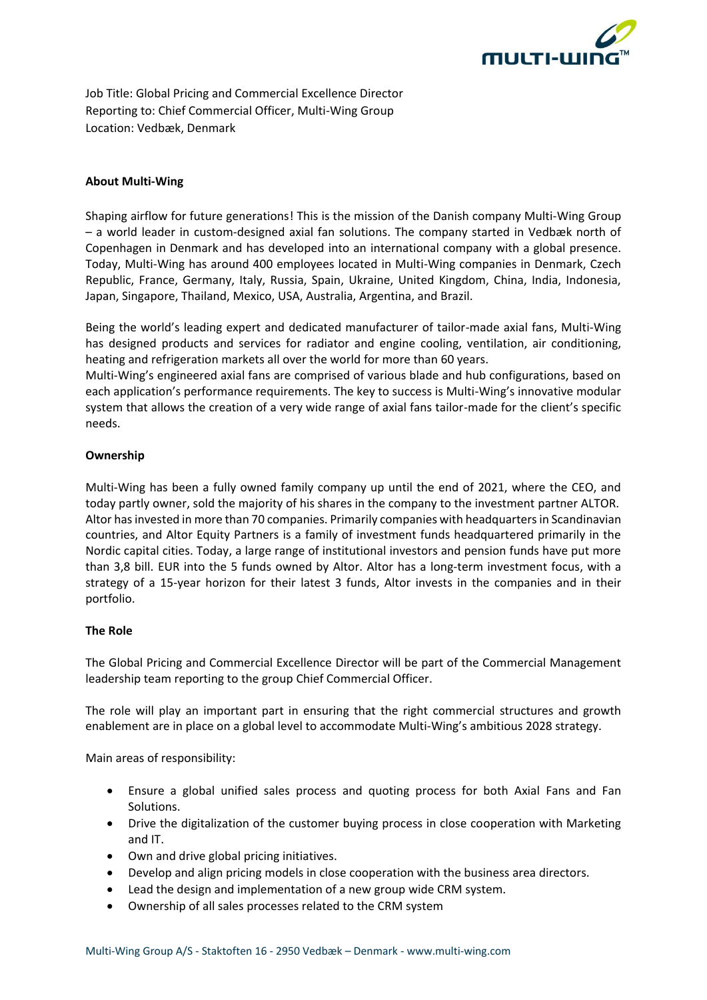

Job Title: Global Pricing and Commercial Excellence Director Reporting to: Chief Commercial Officer, Multi-Wing Group Location: Vedbæk, Denmark

# **About Multi-Wing**

Shaping airflow for future generations! This is the mission of the Danish company Multi-Wing Group – a world leader in custom-designed axial fan solutions. The company started in Vedbæk north of Copenhagen in Denmark and has developed into an international company with a global presence. Today, Multi-Wing has around 400 employees located in Multi-Wing companies in Denmark, Czech Republic, France, Germany, Italy, Russia, Spain, Ukraine, United Kingdom, China, India, Indonesia, Japan, Singapore, Thailand, Mexico, USA, Australia, Argentina, and Brazil.

Being the world's leading expert and dedicated manufacturer of tailor-made axial fans, Multi-Wing has designed products and services for radiator and engine cooling, ventilation, air conditioning, heating and refrigeration markets all over the world for more than 60 years.

Multi-Wing's engineered axial fans are comprised of various blade and hub configurations, based on each application's performance requirements. The key to success is Multi-Wing's innovative modular system that allows the creation of a very wide range of axial fans tailor-made for the client's specific needs.

## **Ownership**

Multi-Wing has been a fully owned family company up until the end of 2021, where the CEO, and today partly owner, sold the majority of his shares in the company to the investment partner ALTOR. Altor has invested in more than 70 companies. Primarily companies with headquarters in Scandinavian countries, and Altor Equity Partners is a family of investment funds headquartered primarily in the Nordic capital cities. Today, a large range of institutional investors and pension funds have put more than 3,8 bill. EUR into the 5 funds owned by Altor. Altor has a long-term investment focus, with a strategy of a 15-year horizon for their latest 3 funds, Altor invests in the companies and in their portfolio.

## **The Role**

The Global Pricing and Commercial Excellence Director will be part of the Commercial Management leadership team reporting to the group Chief Commercial Officer.

The role will play an important part in ensuring that the right commercial structures and growth enablement are in place on a global level to accommodate Multi-Wing's ambitious 2028 strategy.

Main areas of responsibility:

- Ensure a global unified sales process and quoting process for both Axial Fans and Fan Solutions.
- Drive the digitalization of the customer buying process in close cooperation with Marketing and IT.
- Own and drive global pricing initiatives.
- Develop and align pricing models in close cooperation with the business area directors.
- Lead the design and implementation of a new group wide CRM system.
- Ownership of all sales processes related to the CRM system